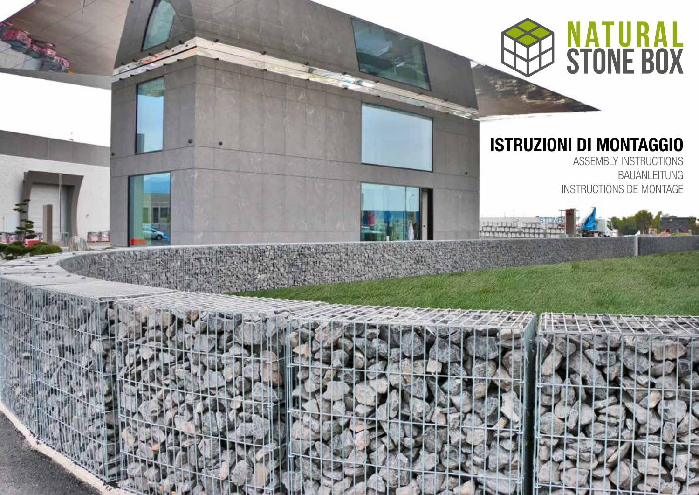

### ISTRUZIONI DI MONTAGGIO

ASSEMBLY INSTRUCTIONS BAUANLEITUNG INSTRUCTIONS DE MONTAGE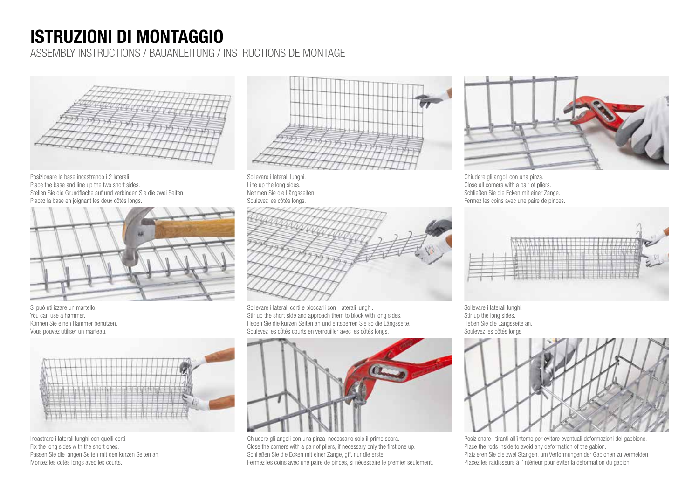## ISTRUZIONI DI MONTAGGIO

ASSEMBLY INSTRUCTIONS / BAUANLEITUNG / INSTRUCTIONS DE MONTAGE



Posizionare la base incastrando i 2 laterali. Place the base and line up the two short sides. Stellen Sie die Grundfläche auf und verbinden Sie die zwei Seiten. Placez la base en joignant les deux côtés longs.



Si può utilizzare un martello. You can use a hammer. Können Sie einen Hammer benutzen. Vous pouvez utiliser un marteau.



Incastrare i laterali lunghi con quelli corti. Fix the long sides with the short ones. Passen Sie die langen Seiten mit den kurzen Seiten an. Montez les côtés longs avec les courts.



Sollevare i laterali lunghi. Line up the long sides. Nehmen Sie die Längsseiten. Soulevez les côtés longs.



Sollevare i laterali corti e bloccarli con i laterali lunghi. Stir up the short side and approach them to block with long sides. Heben Sie die kurzen Seiten an und entsperren Sie so die Längsseite. Soulevez les côtés courts en verrouiller avec les côtés longs.



Chiudere gli angoli con una pinza, necessario solo il primo sopra. Close the corners with a pair of pliers, if necessary only the first one up. Schließen Sie die Ecken mit einer Zange, gff. nur die erste. Fermez les coins avec une paire de pinces, si nécessaire le premier seulement.



Chiudere gli angoli con una pinza. Close all corners with a pair of pliers. Schließen Sie die Ecken mit einer Zange. Fermez les coins avec une paire de pinces.



Sollevare i laterali lunghi. Stir up the long sides. Heben Sie die Längsseite an. Soulevez les côtés longs.



Posizionare i tiranti all'interno per evitare eventuali deformazioni del gabbione. Place the rods inside to avoid any deformation of the gabion. Platzieren Sie die zwei Stangen, um Verformungen der Gabionen zu vermeiden. Placez les raidisseurs à l'intérieur pour éviter la déformation du gabion.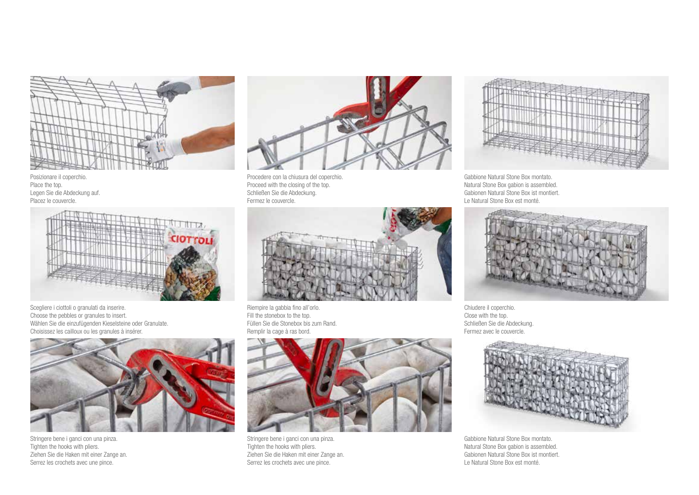

Posizionare il coperchio. Place the top. Legen Sie die Abdeckung auf. Placez le couvercle.



Scegliere i ciottoli o granulati da inserire. Choose the pebbles or granules to insert. Wählen Sie die einzufügenden Kieselsteine oder Granulate. Choisissez les cailloux ou les granules à insérer.



Stringere bene i ganci con una pinza. Tighten the hooks with pliers. Ziehen Sie die Haken mit einer Zange an. Serrez les crochets avec une pince.



Procedere con la chiusura del coperchio. Proceed with the closing of the top. Schließen Sie die Abdeckung. Fermez le couvercle.



Riempire la gabbia fino all'orlo. Fill the stonebox to the top. Füllen Sie die Stonebox bis zum Rand. Remplir la cage à ras bord.



Stringere bene i ganci con una pinza. Tighten the hooks with pliers. Ziehen Sie die Haken mit einer Zange an. Serrez les crochets avec une pince.



Gabbione Natural Stone Box montato. Natural Stone Box gabion is assembled. Gabionen Natural Stone Box ist montiert. Le Natural Stone Box est monté.



Chiudere il coperchio. Close with the top. Schließen Sie die Abdeckung. Fermez avec le couvercle.



Gabbione Natural Stone Box montato. Natural Stone Box gabion is assembled. Gabionen Natural Stone Box ist montiert. Le Natural Stone Box est monté.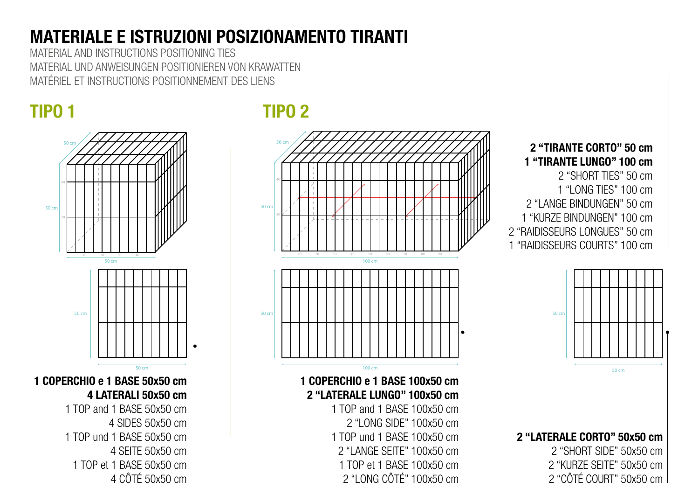# MATERIALE E ISTRUZIONI POSIZIONAMENTO TIRANTI

MATERIAL AND INSTRUCTIONS POSITIONING TIES MATERIAL UND ANWEISUNGEN POSITIONIEREN VON KRAWATTEN MATÉRIEL ET INSTRUCTIONS POSITIONNEMENT DES LIENS



TIPO 1 TIPO 2



2 "TIRANTE CORTO" 50 cm 1 "TIRANTE LUNGO" 100 cm 2 "SHORT TIES" 50 cm 1 "LONG TIES" 100 cm 2 "LANGE BINDUNGEN" 50 cm 1 "KURZE BINDUNGEN" 100 cm 2 "RAIDISSEURS LONGUES" 50 cm 1 "RAIDISSEURS COURTS" 100 cm

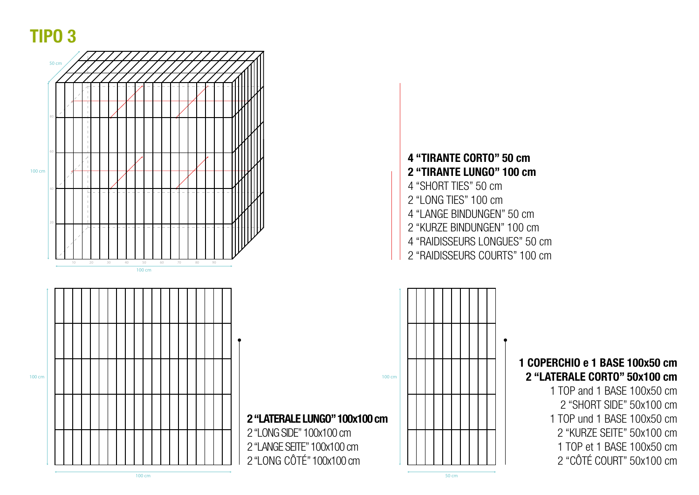

4 "RAIDISSEURS LONGUES" 50 cm 2 "RAIDISSEURS COURTS" 100 cm

4 "TIRANTE CORTO" 50 cm 2 "TIRANTE LUNGO" 100 cm

4 "LANGE BINDUNGEN" 50 cm 2 "KURZE BINDUNGEN" 100 cm

4 "SHORT TIES" 50 cm 2 "LONG TIES" 100 cm

> 1 COPERCHIO e 1 BASE 100x50 cm 2 "LATERALE CORTO" 50x100 cm 1 TOP and 1 BASE 100x50 cm 2 "SHORT SIDE" 50x100 cm 1 TOP und 1 BASE 100x50 cm 2 "KURZE SEITE" 50x100 cm 1 TOP et 1 BASE 100x50 cm

2 "CÔTÉ COURT" 50x100 cm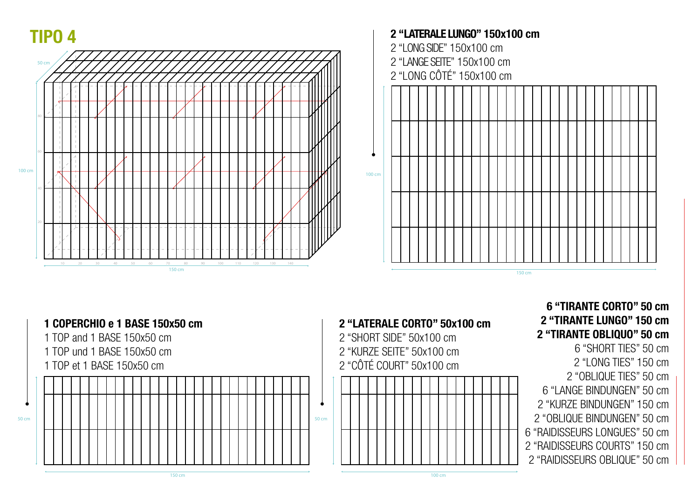





1 COPERCHIO e 1 BASE 150x50 cm

1 TOP and 1 BASE 150x50 cm



2 "LATERALE CORTO" 50x100 cm

2 "TIRANTE LUNGO" 150 cm 2 "TIRANTE OBLIQUO" 50 cm 6 "SHORT TIES" 50 cm 2 "LONG TIES" 150 cm 2 "OBLIQUE TIES" 50 cm 6 "LANGE BINDUNGEN" 50 cm 2 "KURZE BINDUNGEN" 150 cm 2 "OBLIQUE BINDUNGEN" 50 cm 6 "RAIDISSEURS LONGUES" 50 cm 2 "RAIDISSEURS COURTS" 150 cm 2 "RAIDISSEURS OBLIQUE" 50 cm

6 "TIRANTE CORTO" 50 cm





### TIPO 4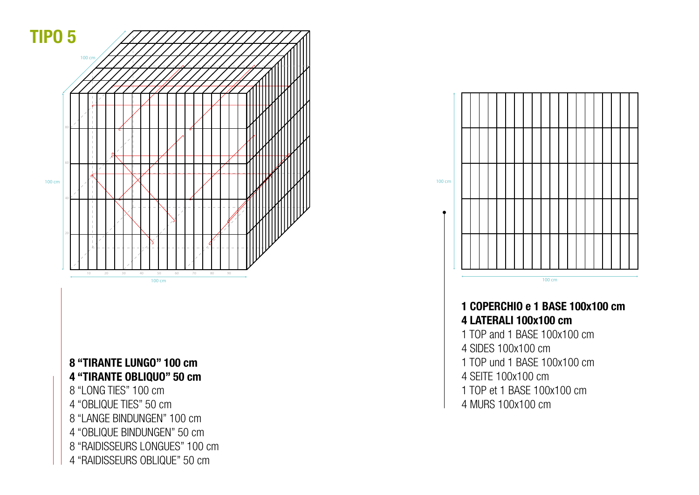

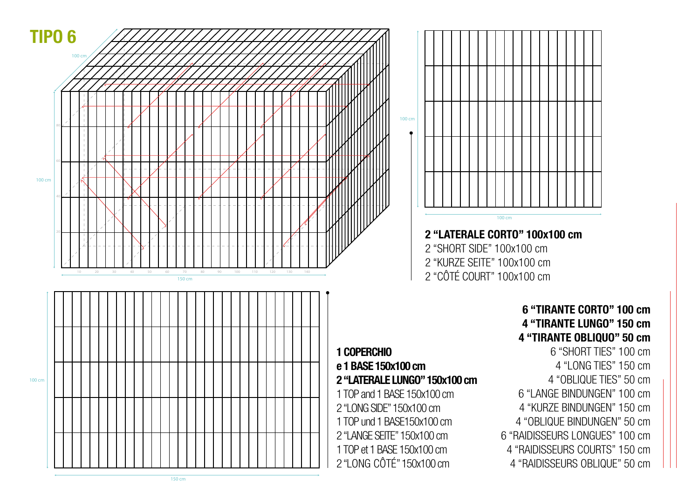



100 cm

2 "KURZE SEITE" 100x100 cm 2 "CÔTÉ COURT" 100x100 cm

> 6 "TIRANTE CORTO" 100 cm 4 "TIRANTE LUNGO" 150 cm 4 "TIRANTE OBLIQUO" 50 cm 6 "SHORT TIES" 100 cm 4 "LONG TIES" 150 cm 4 "OBLIQUE TIES" 50 cm 6 "LANGE BINDUNGEN" 100 cm 4 "KURZE BINDUNGEN" 150 cm 4 "OBLIQUE BINDUNGEN" 50 cm 6 "RAIDISSEURS LONGUES" 100 cm 4 "RAIDISSEURS COURTS" 150 cm 4 "RAIDISSEURS OBLIQUE" 50 cm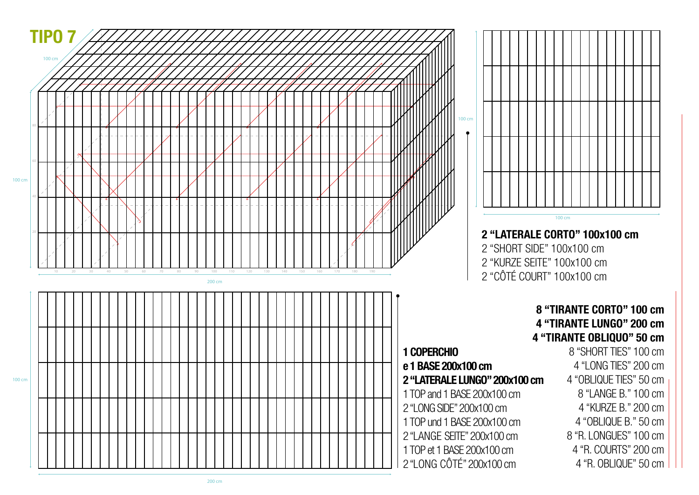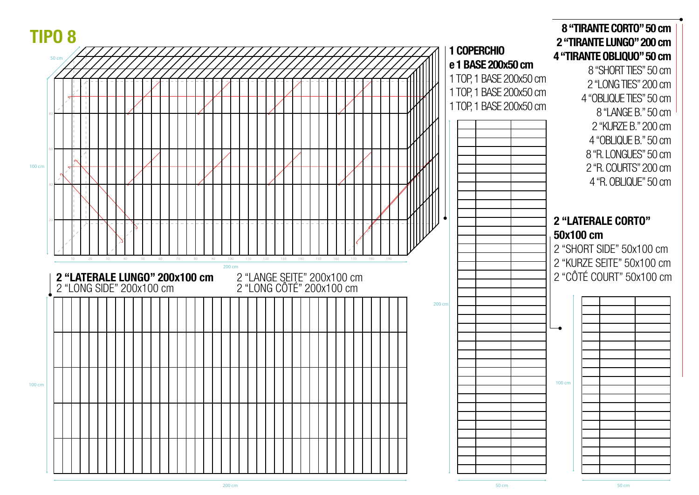

8 "TIRANTE CORTO" 50 cm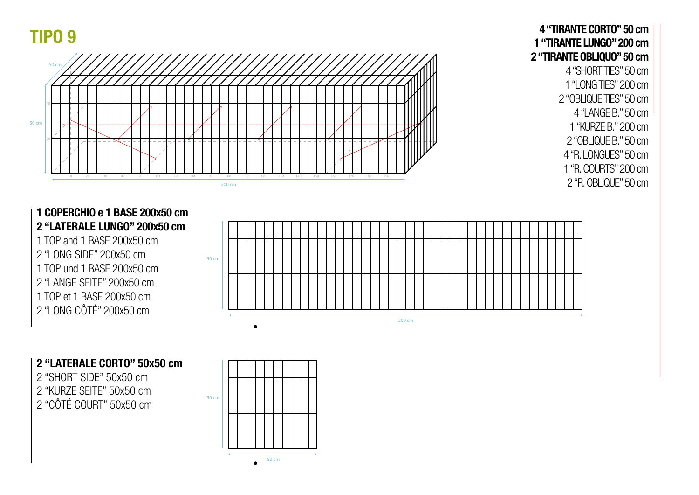

1 COPERCHIO e 1 BASE 200x50 cm 2 "LATERALE LUNGO" 200x50 cm

1 TOP and 1 BASE 200x50 cm 2 "LONG SIDE" 200x50 cm 1 TOP und 1 BASE 200x50 cm 2 "LANGE SEITE" 200x50 cm 1 TOP et 1 BASE 200x50 cm 2 "LONG CÔTÉ" 200x50 cm



2 "LATERALE CORTO" 50x50 cm 2 "SHORT SIDE" 50x50 cm 2 "KURZE SEITE" 50x50 cm 2 "CÔTÉ COURT" 50x50 cm



TIPO 9 4 "TIRANTE CORTO" 50 cm 1 "TIRANTE LUNGO" 200 cm 2 "TIRANTE OBLIQUO" 50 cm 4 "SHORT TIES" 50 cm 1 "LONG TIES" 200 cm 2 "OBLIQUE TIES" 50 cm 4 "LANGE B." 50 cm 1 "KURZE B." 200 cm 2 "OBLIQUE B." 50 cm 4 "R. LONGUES" 50 cm 1 "R. COURTS" 200 cm 2 "R. OBLIQUE" 50 cm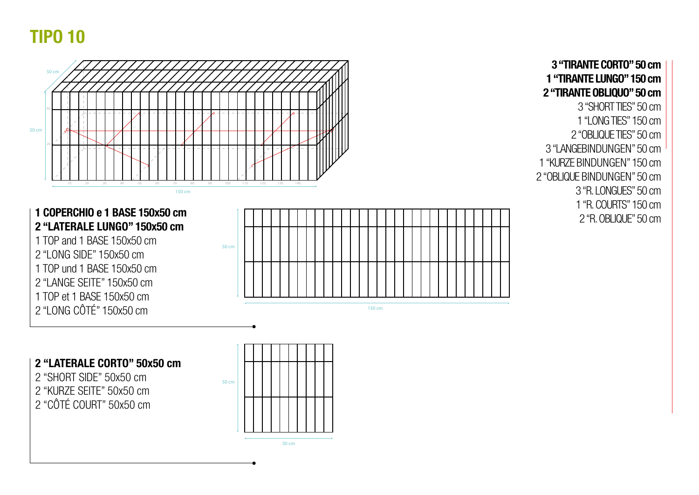

2 "LATERALE CORTO" 50x50 cm

2 "SHORT SIDE" 50x50 cm 2 "KURZE SEITE" 50x50 cm 2 "CÔTÉ COURT" 50x50 cm



3 "TIRANTE CORTO" 50 cm 1 "TIRANTE LUNGO" 150 cm 2 "TIRANTE OBLIQUO" 50 cm 3 "SHORT TIES" 50 cm 1 "LONG TIES" 150 cm 2 "OBLIQUE TIES" 50 cm 3 "LANGEBINDUNGEN" 50 cm 1 "KURZE BINDUNGEN" 150 cm 2 "OBLIQUE BINDUNGEN" 50 cm 3 "R. LONGUES" 50 cm 1 "R. COURTS" 150 cm 2 "R. OBLIQUE" 50 cm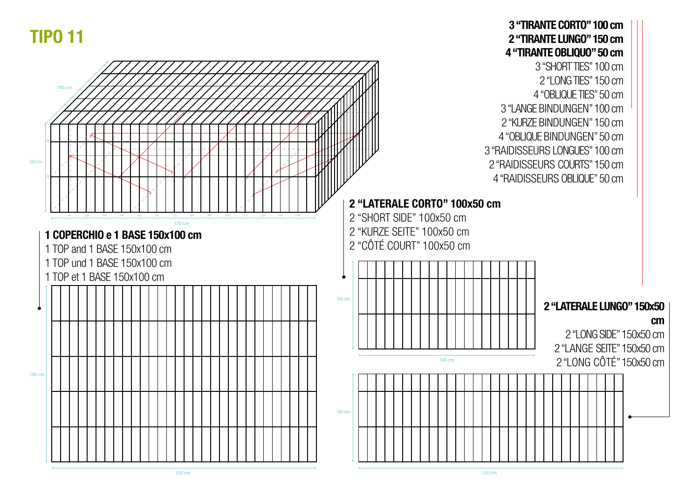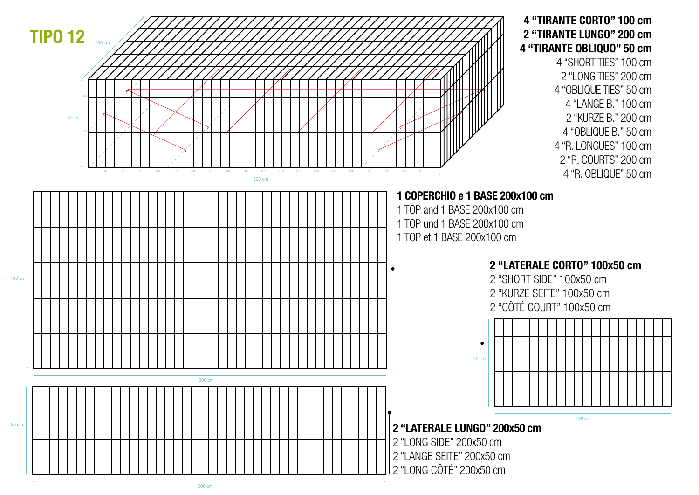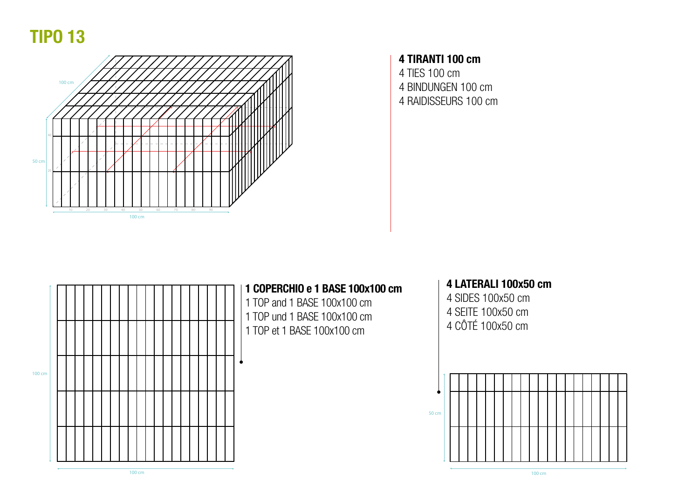![](_page_14_Figure_1.jpeg)

### 4 TIRANTI 100 cm 4 TIES 100 cm 4 BINDUNGEN 100 cm 4 RAIDISSEURS 100 cm

![](_page_14_Figure_3.jpeg)

### 1 COPERCHIO e 1 BASE 100x100 cm

1 TOP and 1 BASE 100x100 cm 1 TOP und 1 BASE 100x100 cm 1 TOP et 1 BASE 100x100 cm

#### 4 LATERALI 100x50 cm

- 4 SIDES 100x50 cm
- 4 SEITE 100x50 cm
- 4 CÔTÉ 100x50 cm

![](_page_14_Figure_10.jpeg)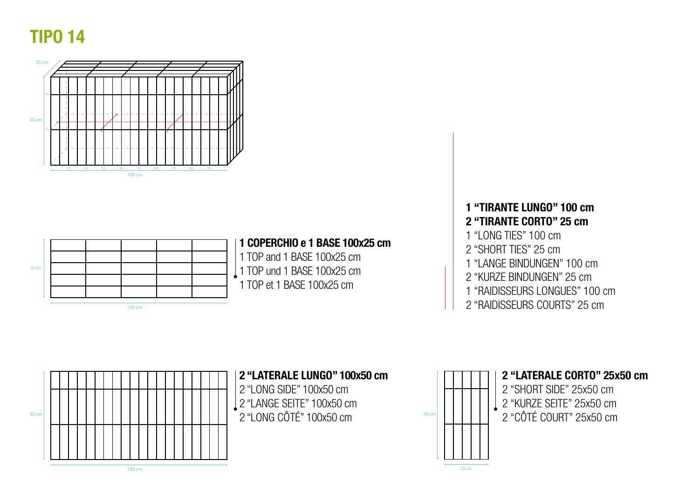![](_page_15_Figure_1.jpeg)

![](_page_15_Figure_2.jpeg)

100 cm

### 1 COPERCHIO e 1 BASE 100x25 cm

1 TOP and 1 BASE 100x25 cm 1 TOP und 1 BASE 100x25 cm 1 TOP et 1 BASE 100x25 cm

1 "TIRANTE LUNGO" 100 cm 2 "TIRANTE CORTO" 25 cm

1 "LONG TIES" 100 cm 2 "SHORT TIES" 25 cm

- 1 "LANGE BINDUNGEN" 100 cm
- 2 "KURZE BINDUNGEN" 25 cm
- 1 "RAIDISSEURS LONGUES" 100 cm
- 2 "RAIDISSEURS COURTS" 25 cm

![](_page_15_Figure_12.jpeg)

#### 2 "LATERALE LUNGO" 100x50 cm

2 "LONG SIDE" 100x50 cm 2 "LANGE SEITE" 100x50 cm  $2$  "LONG CÔTÉ" 100x50 cm  $50<sub>cm</sub>$ 

![](_page_15_Figure_15.jpeg)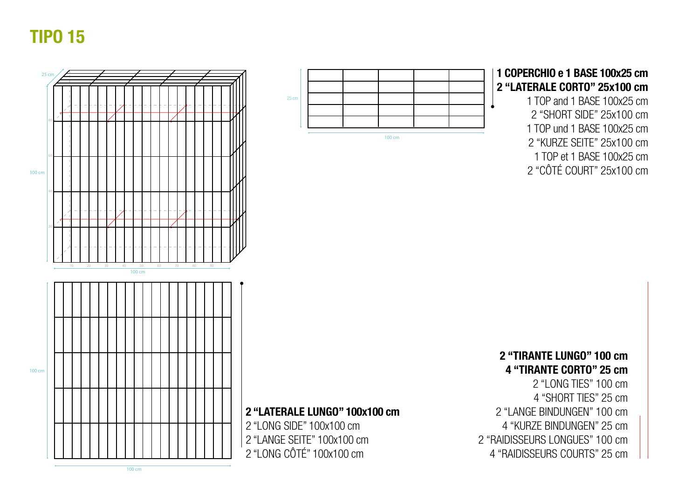![](_page_16_Figure_1.jpeg)

![](_page_16_Figure_2.jpeg)

#### 1 COPERCHIO e 1 BASE 100x25 cm 2 "LATERALE CORTO" 25x100 cm

1 TOP and 1 BASE 100x25 cm 2 "SHORT SIDE" 25x100 cm 1 TOP und 1 BASE 100x25 cm 2 "KURZE SEITE" 25x100 cm 1 TOP et 1 BASE 100x25 cm 2 "CÔTÉ COURT" 25x100 cm

2 "TIRANTE LUNGO" 100 cm 4 "TIRANTE CORTO" 25 cm

2 "LONG TIES" 100 cm 4 "SHORT TIES" 25 cm 2 "LANGE BINDUNGEN" 100 cm 4 "KURZE BINDUNGEN" 25 cm 2 "RAIDISSEURS LONGUES" 100 cm 4 "RAIDISSEURS COURTS" 25 cm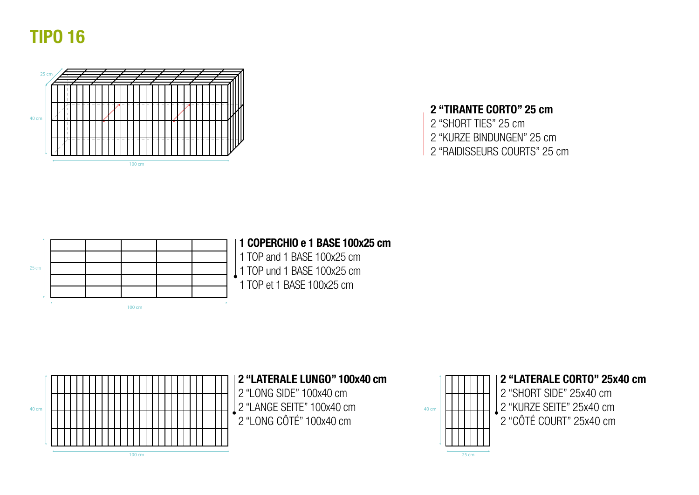![](_page_17_Figure_1.jpeg)

#### 2 "TIRANTE CORTO" 25 cm

2 "SHORT TIES" 25 cm 2 "KURZE BINDUNGEN" 25 cm 2 "RAIDISSEURS COURTS" 25 cm

![](_page_17_Figure_4.jpeg)

![](_page_17_Figure_5.jpeg)